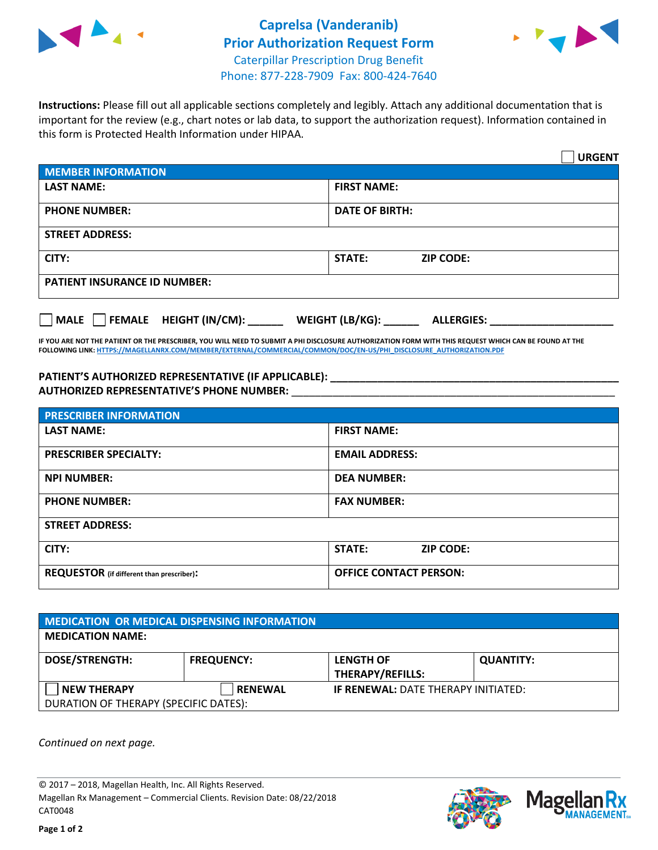



**Instructions:** Please fill out all applicable sections completely and legibly. Attach any additional documentation that is important for the review (e.g., chart notes or lab data, to support the authorization request). Information contained in this form is Protected Health Information under HIPAA.

|                                       | <b>URGENT</b>                          |
|---------------------------------------|----------------------------------------|
| <b>MEMBER INFORMATION</b>             |                                        |
| <b>LAST NAME:</b>                     | <b>FIRST NAME:</b>                     |
| <b>PHONE NUMBER:</b>                  | <b>DATE OF BIRTH:</b>                  |
| <b>STREET ADDRESS:</b>                |                                        |
| CITY:                                 | <b>ZIP CODE:</b><br>STATE:             |
| <b>PATIENT INSURANCE ID NUMBER:</b>   |                                        |
| FEMALE HEIGHT (IN/CM):<br><b>MALE</b> | WEIGHT (LB/KG): _<br><b>ALLERGIES:</b> |

**IF YOU ARE NOT THE PATIENT OR THE PRESCRIBER, YOU WILL NEED TO SUBMIT A PHI DISCLOSURE AUTHORIZATION FORM WITH THIS REQUEST WHICH CAN BE FOUND AT THE FOLLOWING LINK[: HTTPS://MAGELLANRX.COM/MEMBER/EXTERNAL/COMMERCIAL/COMMON/DOC/EN-US/PHI\\_DISCLOSURE\\_AUTHORIZATION.PDF](https://magellanrx.com/member/external/commercial/common/doc/en-us/PHI_Disclosure_Authorization.pdf)**

**PATIENT'S AUTHORIZED REPRESENTATIVE (IF APPLICABLE): \_\_\_\_\_\_\_\_\_\_\_\_\_\_\_\_\_\_\_\_\_\_\_\_\_\_\_\_\_\_\_\_\_\_\_\_\_\_\_\_\_\_\_\_\_\_\_\_\_ AUTHORIZED REPRESENTATIVE'S PHONE NUMBER:** \_\_\_\_\_\_\_\_\_\_\_\_\_\_\_\_\_\_\_\_\_\_\_\_\_\_\_\_\_\_\_\_\_\_\_\_\_\_\_\_\_\_\_\_\_\_\_\_\_\_\_\_\_\_\_

| <b>PRESCRIBER INFORMATION</b>             |                               |  |  |  |
|-------------------------------------------|-------------------------------|--|--|--|
| <b>LAST NAME:</b>                         | <b>FIRST NAME:</b>            |  |  |  |
| <b>PRESCRIBER SPECIALTY:</b>              | <b>EMAIL ADDRESS:</b>         |  |  |  |
| <b>NPI NUMBER:</b>                        | <b>DEA NUMBER:</b>            |  |  |  |
| <b>PHONE NUMBER:</b>                      | <b>FAX NUMBER:</b>            |  |  |  |
| <b>STREET ADDRESS:</b>                    |                               |  |  |  |
| CITY:                                     | STATE:<br><b>ZIP CODE:</b>    |  |  |  |
| REQUESTOR (if different than prescriber): | <b>OFFICE CONTACT PERSON:</b> |  |  |  |

| <b>MEDICATION OR MEDICAL DISPENSING INFORMATION</b> |                   |                                            |                  |  |  |
|-----------------------------------------------------|-------------------|--------------------------------------------|------------------|--|--|
| <b>MEDICATION NAME:</b>                             |                   |                                            |                  |  |  |
| <b>DOSE/STRENGTH:</b>                               | <b>FREQUENCY:</b> | <b>LENGTH OF</b>                           | <b>QUANTITY:</b> |  |  |
|                                                     |                   | <b>THERAPY/REFILLS:</b>                    |                  |  |  |
| <b>NEW THERAPY</b>                                  | <b>RENEWAL</b>    | <b>IF RENEWAL: DATE THERAPY INITIATED:</b> |                  |  |  |
| DURATION OF THERAPY (SPECIFIC DATES):               |                   |                                            |                  |  |  |

*Continued on next page.*

© 2017 – 2018, Magellan Health, Inc. All Rights Reserved. Magellan Rx Management – Commercial Clients. Revision Date: 08/22/2018 CAT0048